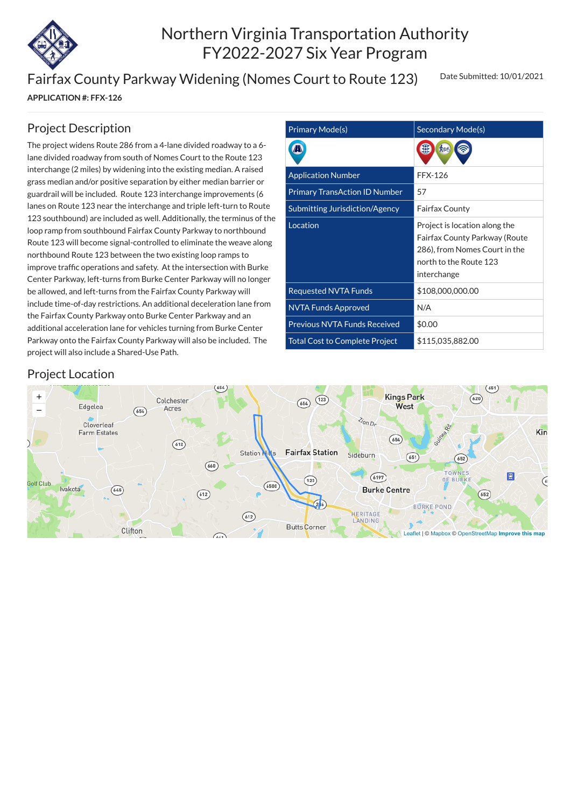

# Northern Virginia Transportation Authority FY2022-2027 Six Year Program

Fairfax County Parkway Widening (Nomes Court to Route 123)

**APPLICATION #: FFX-126**

Date Submitted: 10/01/2021

| <b>Primary Mode(s)</b>                | Secondary Mode(s)                                                                                                                        |
|---------------------------------------|------------------------------------------------------------------------------------------------------------------------------------------|
|                                       |                                                                                                                                          |
| <b>Application Number</b>             | <b>FFX-126</b>                                                                                                                           |
| <b>Primary TransAction ID Number</b>  | 57                                                                                                                                       |
| <b>Submitting Jurisdiction/Agency</b> | <b>Fairfax County</b>                                                                                                                    |
| Location                              | Project is location along the<br>Fairfax County Parkway (Route<br>286), from Nomes Court in the<br>north to the Route 123<br>interchange |
| <b>Requested NVTA Funds</b>           | \$108,000,000.00                                                                                                                         |
| <b>NVTA Funds Approved</b>            | N/A                                                                                                                                      |
| <b>Previous NVTA Funds Received</b>   | \$0.00                                                                                                                                   |
| <b>Total Cost to Complete Project</b> | \$115,035,882.00                                                                                                                         |

#### Project Description

The project widens Route 286 from a 4-lane divided roadway to a 6 lane divided roadway from south of Nomes Court to the Route 123 interchange (2 miles) by widening into the existing median. A raised grass median and/or positive separation by either median barrier or guardrail will be included. Route 123 interchange improvements (6 lanes on Route 123 near the interchange and triple left-turn to Route 123 southbound) are included as well. Additionally, the terminus of the loop ramp from southbound Fairfax County Parkway to northbound Route 123 will become signal-controlled to eliminate the weave along northbound Route 123 between the two existing loop ramps to improve traffic operations and safety. At the intersection with Burke Center Parkway, left-turns from Burke Center Parkway will no longer be allowed, and left-turns from the Fairfax County Parkway will include time-of-day restrictions. An additional deceleration lane from the Fairfax County Parkway onto Burke Center Parkway and an additional acceleration lane for vehicles turning from Burke Center Parkway onto the Fairfax County Parkway will also be included. The project will also include a Shared-Use Path.

#### Project Location